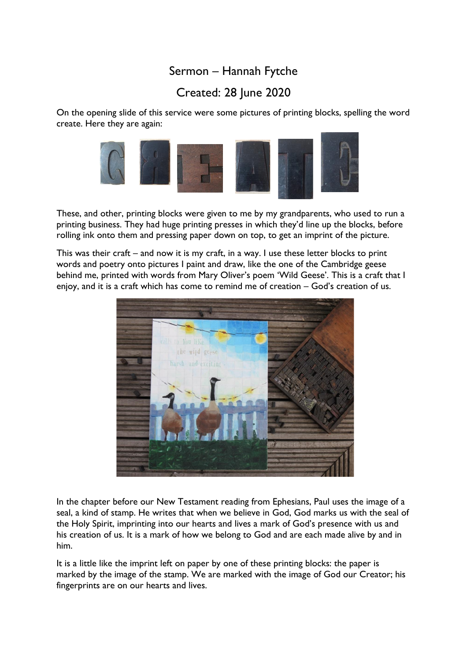## Sermon – Hannah Fytche

## Created: 28 June 2020

On the opening slide of this service were some pictures of printing blocks, spelling the word create. Here they are again:



These, and other, printing blocks were given to me by my grandparents, who used to run a printing business. They had huge printing presses in which they'd line up the blocks, before rolling ink onto them and pressing paper down on top, to get an imprint of the picture.

This was their craft – and now it is my craft, in a way. I use these letter blocks to print words and poetry onto pictures I paint and draw, like the one of the Cambridge geese behind me, printed with words from Mary Oliver's poem 'Wild Geese'. This is a craft that I enjoy, and it is a craft which has come to remind me of creation – God's creation of us.



In the chapter before our New Testament reading from Ephesians, Paul uses the image of a seal, a kind of stamp. He writes that when we believe in God, God marks us with the seal of the Holy Spirit, imprinting into our hearts and lives a mark of God's presence with us and his creation of us. It is a mark of how we belong to God and are each made alive by and in him.

It is a little like the imprint left on paper by one of these printing blocks: the paper is marked by the image of the stamp. We are marked with the image of God our Creator; his fingerprints are on our hearts and lives.